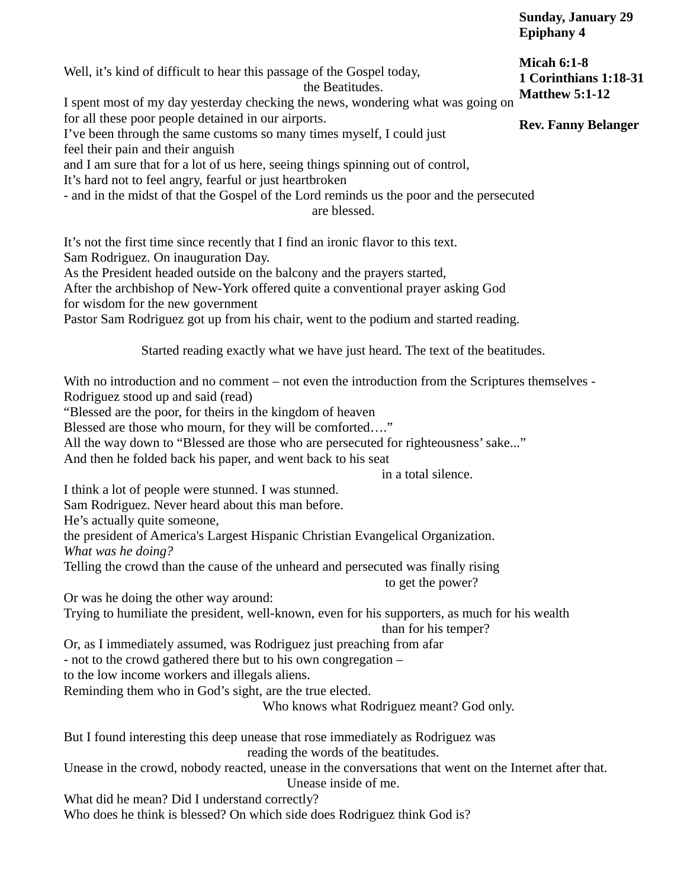Well, it's kind of difficult to hear this passage of the Gospel today, the Beatitudes. I spent most of my day yesterday checking the news, wondering what was going on for all these poor people detained in our airports. I've been through the same customs so many times myself, I could just feel their pain and their anguish and I am sure that for a lot of us here, seeing things spinning out of control, It's hard not to feel angry, fearful or just heartbroken - and in the midst of that the Gospel of the Lord reminds us the poor and the persecuted are blessed. It's not the first time since recently that I find an ironic flavor to this text. Sam Rodriguez. On inauguration Day. As the President headed outside on the balcony and the prayers started, After the archbishop of New-York offered quite a conventional prayer asking God for wisdom for the new government Pastor Sam Rodriguez got up from his chair, went to the podium and started reading. Started reading exactly what we have just heard. The text of the beatitudes. With no introduction and no comment – not even the introduction from the Scriptures themselves - Rodriguez stood up and said (read) "Blessed are the poor, for theirs in the kingdom of heaven Blessed are those who mourn, for they will be comforted…." All the way down to "Blessed are those who are persecuted for righteousness' sake..." And then he folded back his paper, and went back to his seat in a total silence. I think a lot of people were stunned. I was stunned. Sam Rodriguez. Never heard about this man before. He's actually quite someone, the president of America's Largest Hispanic Christian Evangelical Organization. *What was he doing?* Telling the crowd than the cause of the unheard and persecuted was finally rising to get the power? Or was he doing the other way around: Trying to humiliate the president, well-known, even for his supporters, as much for his wealth than for his temper? Or, as I immediately assumed, was Rodriguez just preaching from afar - not to the crowd gathered there but to his own congregation – to the low income workers and illegals aliens. Reminding them who in God's sight, are the true elected. Who knows what Rodriguez meant? God only. But I found interesting this deep unease that rose immediately as Rodriguez was reading the words of the beatitudes. Unease in the crowd, nobody reacted, unease in the conversations that went on the Internet after that. Unease inside of me. What did he mean? Did I understand correctly? Who does he think is blessed? On which side does Rodriguez think God is? **Micah 6:1-8 1 Corinthians 1:18-31 Matthew 5:1-12 Rev. Fanny Belanger**

**Sunday, January 29**

**Epiphany 4**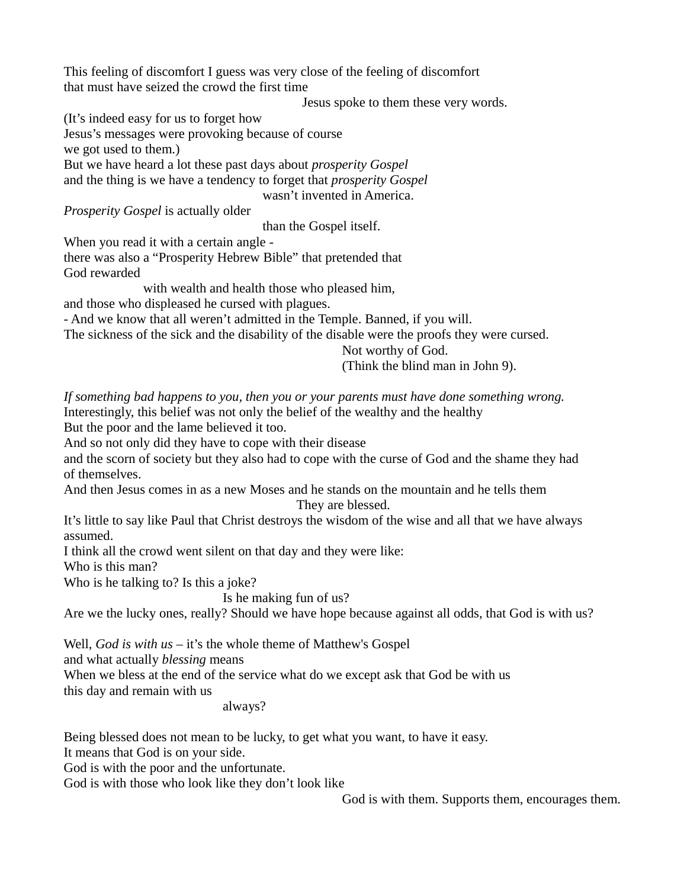This feeling of discomfort I guess was very close of the feeling of discomfort that must have seized the crowd the first time

Jesus spoke to them these very words.

(It's indeed easy for us to forget how

Jesus's messages were provoking because of course

we got used to them.)

But we have heard a lot these past days about *prosperity Gospel* and the thing is we have a tendency to forget that *prosperity Gospel*

wasn't invented in America.

*Prosperity Gospel* is actually older

than the Gospel itself.

When you read it with a certain angle -

there was also a "Prosperity Hebrew Bible" that pretended that God rewarded

with wealth and health those who pleased him,

and those who displeased he cursed with plagues.

- And we know that all weren't admitted in the Temple. Banned, if you will.

The sickness of the sick and the disability of the disable were the proofs they were cursed.

Not worthy of God.

(Think the blind man in John 9).

*If something bad happens to you, then you or your parents must have done something wrong.* Interestingly, this belief was not only the belief of the wealthy and the healthy But the poor and the lame believed it too.

And so not only did they have to cope with their disease

and the scorn of society but they also had to cope with the curse of God and the shame they had of themselves.

And then Jesus comes in as a new Moses and he stands on the mountain and he tells them They are blessed.

It's little to say like Paul that Christ destroys the wisdom of the wise and all that we have always assumed.

I think all the crowd went silent on that day and they were like:

Who is this man?

Who is he talking to? Is this a joke?

Is he making fun of us?

Are we the lucky ones, really? Should we have hope because against all odds, that God is with us?

Well, *God is with us* – it's the whole theme of Matthew's Gospel

and what actually *blessing* means

When we bless at the end of the service what do we except ask that God be with us this day and remain with us

always?

Being blessed does not mean to be lucky, to get what you want, to have it easy.

It means that God is on your side.

God is with the poor and the unfortunate.

God is with those who look like they don't look like

God is with them. Supports them, encourages them.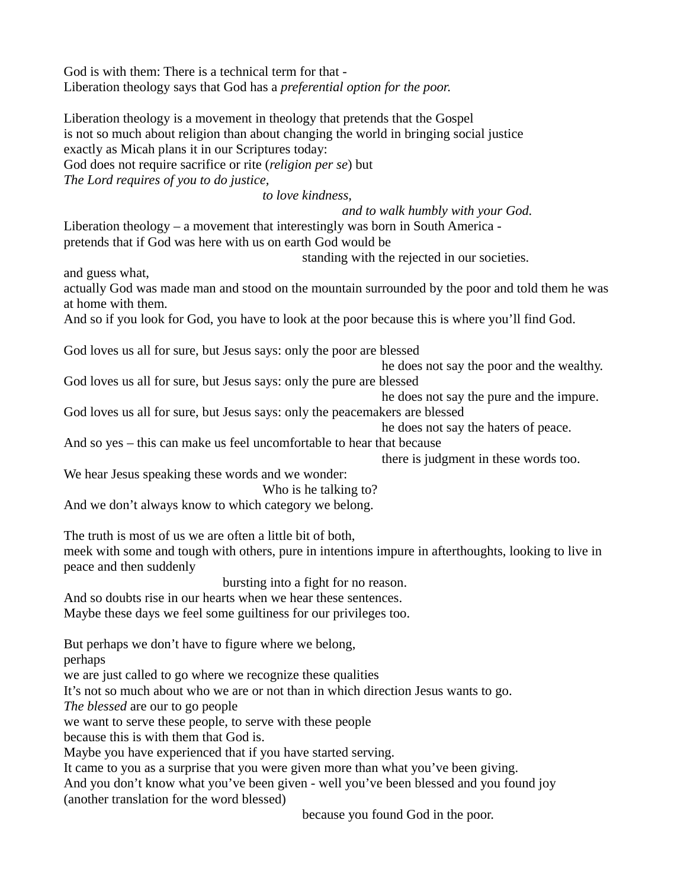God is with them: There is a technical term for that - Liberation theology says that God has a *preferential option for the poor*.

Liberation theology is a movement in theology that pretends that the Gospel is not so much about religion than about changing the world in bringing social justice exactly as Micah plans it in our Scriptures today: God does not require sacrifice or rite (*religion per se*) but *The Lord requires of you to do justice,* 

*to love kindness,* 

*and to walk humbly with your God.*

Liberation theology – a movement that interestingly was born in South America pretends that if God was here with us on earth God would be

standing with the rejected in our societies.

and guess what,

actually God was made man and stood on the mountain surrounded by the poor and told them he was at home with them.

And so if you look for God, you have to look at the poor because this is where you'll find God.

God loves us all for sure, but Jesus says: only the poor are blessed

he does not say the poor and the wealthy.

God loves us all for sure, but Jesus says: only the pure are blessed

he does not say the pure and the impure.

God loves us all for sure, but Jesus says: only the peacemakers are blessed

he does not say the haters of peace.

And so yes – this can make us feel uncomfortable to hear that because

there is judgment in these words too.

We hear Jesus speaking these words and we wonder:

Who is he talking to?

And we don't always know to which category we belong.

The truth is most of us we are often a little bit of both,

meek with some and tough with others, pure in intentions impure in afterthoughts, looking to live in peace and then suddenly

bursting into a fight for no reason.

And so doubts rise in our hearts when we hear these sentences.

Maybe these days we feel some guiltiness for our privileges too.

But perhaps we don't have to figure where we belong,

perhaps

we are just called to go where we recognize these qualities

It's not so much about who we are or not than in which direction Jesus wants to go.

*The blessed* are our to go people

we want to serve these people, to serve with these people

because this is with them that God is.

Maybe you have experienced that if you have started serving.

It came to you as a surprise that you were given more than what you've been giving.

And you don't know what you've been given - well you've been blessed and you found joy (another translation for the word blessed)

because you found God in the poor.